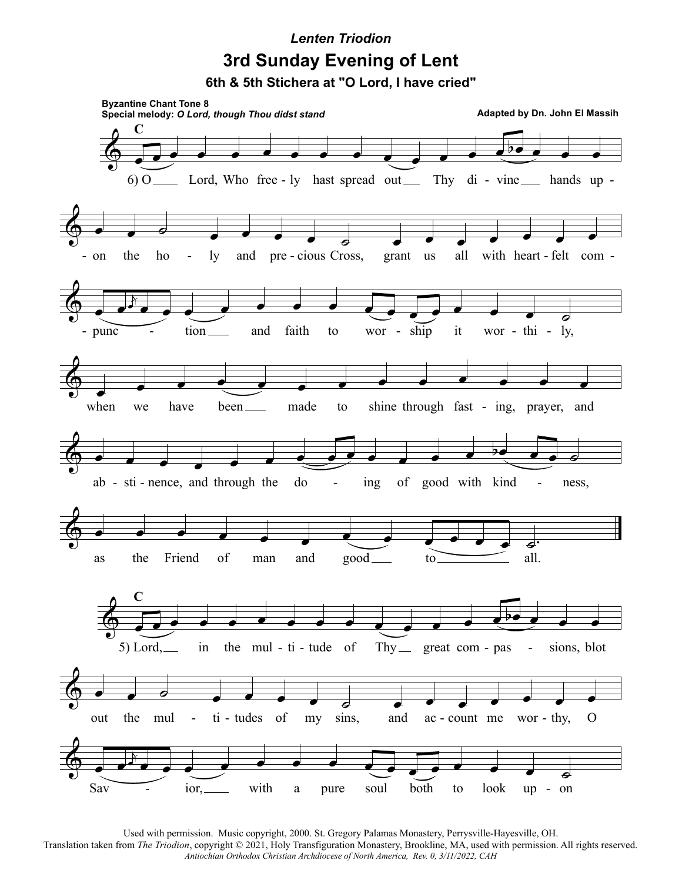## **3rd Sunday Evening of Lent** *Lenten Triodion*

**6th & 5th Stichera at "O Lord, I have cried"**



Used with permission. Music copyright, 2000. St. Gregory Palamas Monastery, Perrysville-Hayesville, OH. Translation taken from *The Triodion*, copyright © 2021, Holy Transfiguration Monastery, Brookline, MA, used with permission. All rights reserved. *Antiochian Orthodox Christian Archdiocese of North America, Rev. 0, 3/11/2022, CAH*